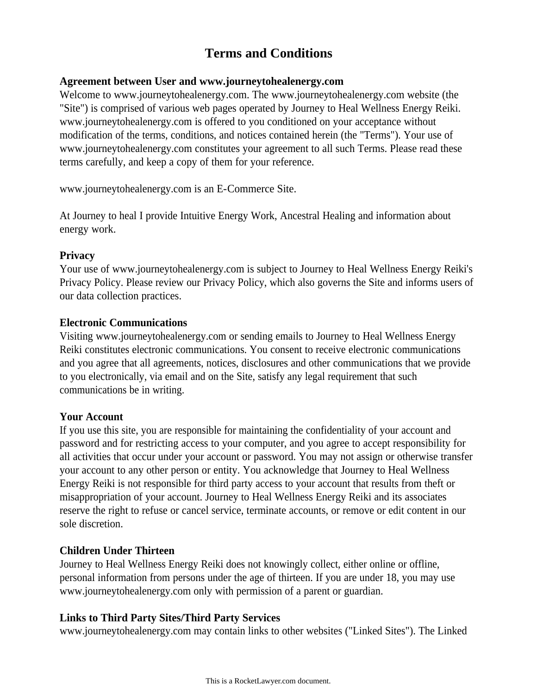# **Terms and Conditions**

# **Agreement between User and www.journeytohealenergy.com**

Welcome to www.journeytohealenergy.com. The www.journeytohealenergy.com website (the "Site") is comprised of various web pages operated by Journey to Heal Wellness Energy Reiki. www.journeytohealenergy.com is offered to you conditioned on your acceptance without modification of the terms, conditions, and notices contained herein (the "Terms"). Your use of www.journeytohealenergy.com constitutes your agreement to all such Terms. Please read these terms carefully, and keep a copy of them for your reference.

www.journeytohealenergy.com is an E-Commerce Site.

At Journey to heal I provide Intuitive Energy Work, Ancestral Healing and information about energy work.

# **Privacy**

Your use of www.journeytohealenergy.com is subject to Journey to Heal Wellness Energy Reiki's Privacy Policy. Please review our Privacy Policy, which also governs the Site and informs users of our data collection practices.

# **Electronic Communications**

Visiting www.journeytohealenergy.com or sending emails to Journey to Heal Wellness Energy Reiki constitutes electronic communications. You consent to receive electronic communications and you agree that all agreements, notices, disclosures and other communications that we provide to you electronically, via email and on the Site, satisfy any legal requirement that such communications be in writing.

### **Your Account**

If you use this site, you are responsible for maintaining the confidentiality of your account and password and for restricting access to your computer, and you agree to accept responsibility for all activities that occur under your account or password. You may not assign or otherwise transfer your account to any other person or entity. You acknowledge that Journey to Heal Wellness Energy Reiki is not responsible for third party access to your account that results from theft or misappropriation of your account. Journey to Heal Wellness Energy Reiki and its associates reserve the right to refuse or cancel service, terminate accounts, or remove or edit content in our sole discretion.

### **Children Under Thirteen**

Journey to Heal Wellness Energy Reiki does not knowingly collect, either online or offline, personal information from persons under the age of thirteen. If you are under 18, you may use www.journeytohealenergy.com only with permission of a parent or guardian.

# **Links to Third Party Sites/Third Party Services**

www.journeytohealenergy.com may contain links to other websites ("Linked Sites"). The Linked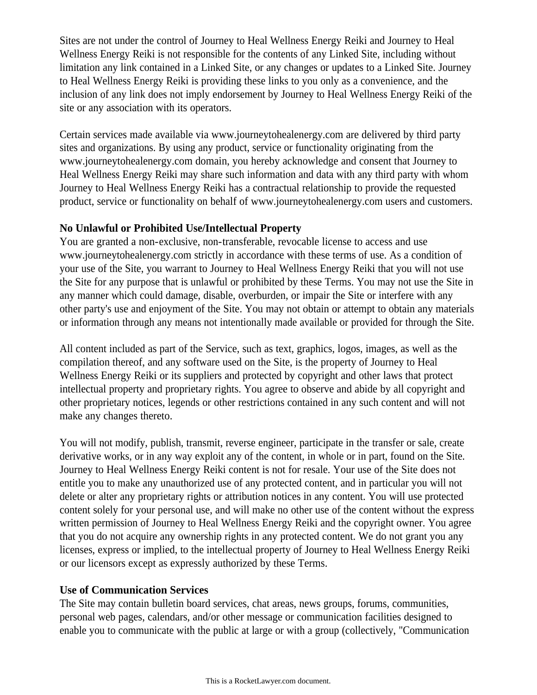Sites are not under the control of Journey to Heal Wellness Energy Reiki and Journey to Heal Wellness Energy Reiki is not responsible for the contents of any Linked Site, including without limitation any link contained in a Linked Site, or any changes or updates to a Linked Site. Journey to Heal Wellness Energy Reiki is providing these links to you only as a convenience, and the inclusion of any link does not imply endorsement by Journey to Heal Wellness Energy Reiki of the site or any association with its operators.

Certain services made available via www.journeytohealenergy.com are delivered by third party sites and organizations. By using any product, service or functionality originating from the www.journeytohealenergy.com domain, you hereby acknowledge and consent that Journey to Heal Wellness Energy Reiki may share such information and data with any third party with whom Journey to Heal Wellness Energy Reiki has a contractual relationship to provide the requested product, service or functionality on behalf of www.journeytohealenergy.com users and customers.

# **No Unlawful or Prohibited Use/Intellectual Property**

You are granted a non-exclusive, non-transferable, revocable license to access and use www.journeytohealenergy.com strictly in accordance with these terms of use. As a condition of your use of the Site, you warrant to Journey to Heal Wellness Energy Reiki that you will not use the Site for any purpose that is unlawful or prohibited by these Terms. You may not use the Site in any manner which could damage, disable, overburden, or impair the Site or interfere with any other party's use and enjoyment of the Site. You may not obtain or attempt to obtain any materials or information through any means not intentionally made available or provided for through the Site.

All content included as part of the Service, such as text, graphics, logos, images, as well as the compilation thereof, and any software used on the Site, is the property of Journey to Heal Wellness Energy Reiki or its suppliers and protected by copyright and other laws that protect intellectual property and proprietary rights. You agree to observe and abide by all copyright and other proprietary notices, legends or other restrictions contained in any such content and will not make any changes thereto.

You will not modify, publish, transmit, reverse engineer, participate in the transfer or sale, create derivative works, or in any way exploit any of the content, in whole or in part, found on the Site. Journey to Heal Wellness Energy Reiki content is not for resale. Your use of the Site does not entitle you to make any unauthorized use of any protected content, and in particular you will not delete or alter any proprietary rights or attribution notices in any content. You will use protected content solely for your personal use, and will make no other use of the content without the express written permission of Journey to Heal Wellness Energy Reiki and the copyright owner. You agree that you do not acquire any ownership rights in any protected content. We do not grant you any licenses, express or implied, to the intellectual property of Journey to Heal Wellness Energy Reiki or our licensors except as expressly authorized by these Terms.

# **Use of Communication Services**

The Site may contain bulletin board services, chat areas, news groups, forums, communities, personal web pages, calendars, and/or other message or communication facilities designed to enable you to communicate with the public at large or with a group (collectively, "Communication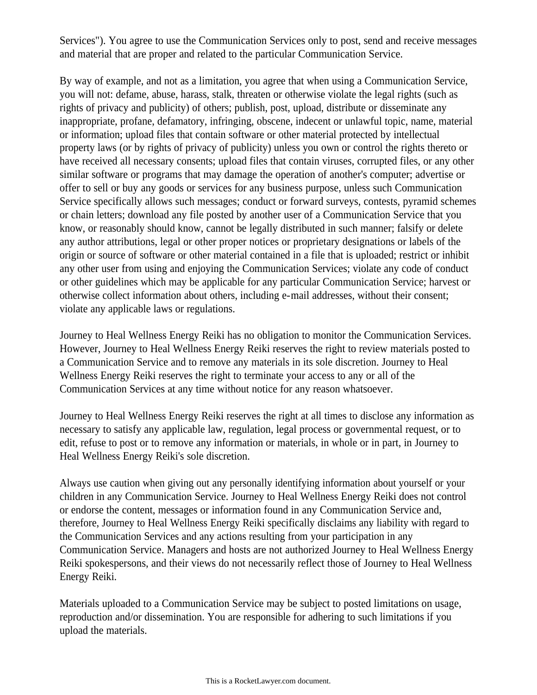Services"). You agree to use the Communication Services only to post, send and receive messages and material that are proper and related to the particular Communication Service.

By way of example, and not as a limitation, you agree that when using a Communication Service, you will not: defame, abuse, harass, stalk, threaten or otherwise violate the legal rights (such as rights of privacy and publicity) of others; publish, post, upload, distribute or disseminate any inappropriate, profane, defamatory, infringing, obscene, indecent or unlawful topic, name, material or information; upload files that contain software or other material protected by intellectual property laws (or by rights of privacy of publicity) unless you own or control the rights thereto or have received all necessary consents; upload files that contain viruses, corrupted files, or any other similar software or programs that may damage the operation of another's computer; advertise or offer to sell or buy any goods or services for any business purpose, unless such Communication Service specifically allows such messages; conduct or forward surveys, contests, pyramid schemes or chain letters; download any file posted by another user of a Communication Service that you know, or reasonably should know, cannot be legally distributed in such manner; falsify or delete any author attributions, legal or other proper notices or proprietary designations or labels of the origin or source of software or other material contained in a file that is uploaded; restrict or inhibit any other user from using and enjoying the Communication Services; violate any code of conduct or other guidelines which may be applicable for any particular Communication Service; harvest or otherwise collect information about others, including e-mail addresses, without their consent; violate any applicable laws or regulations.

Journey to Heal Wellness Energy Reiki has no obligation to monitor the Communication Services. However, Journey to Heal Wellness Energy Reiki reserves the right to review materials posted to a Communication Service and to remove any materials in its sole discretion. Journey to Heal Wellness Energy Reiki reserves the right to terminate your access to any or all of the Communication Services at any time without notice for any reason whatsoever.

Journey to Heal Wellness Energy Reiki reserves the right at all times to disclose any information as necessary to satisfy any applicable law, regulation, legal process or governmental request, or to edit, refuse to post or to remove any information or materials, in whole or in part, in Journey to Heal Wellness Energy Reiki's sole discretion.

Always use caution when giving out any personally identifying information about yourself or your children in any Communication Service. Journey to Heal Wellness Energy Reiki does not control or endorse the content, messages or information found in any Communication Service and, therefore, Journey to Heal Wellness Energy Reiki specifically disclaims any liability with regard to the Communication Services and any actions resulting from your participation in any Communication Service. Managers and hosts are not authorized Journey to Heal Wellness Energy Reiki spokespersons, and their views do not necessarily reflect those of Journey to Heal Wellness Energy Reiki.

Materials uploaded to a Communication Service may be subject to posted limitations on usage, reproduction and/or dissemination. You are responsible for adhering to such limitations if you upload the materials.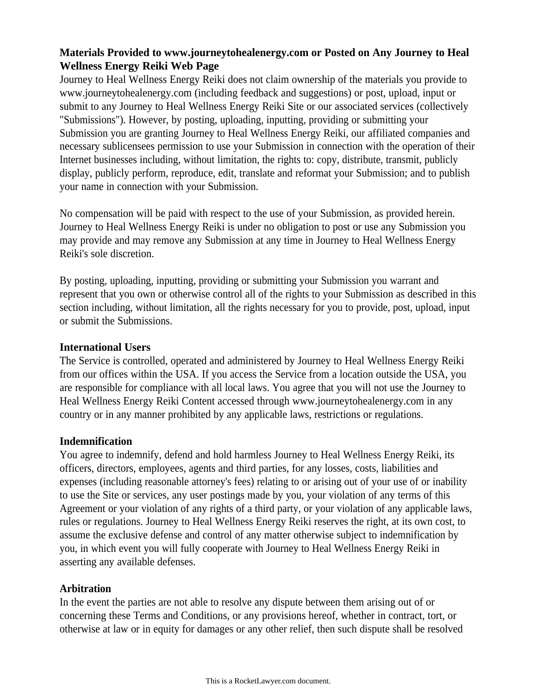# **Materials Provided to www.journeytohealenergy.com or Posted on Any Journey to Heal Wellness Energy Reiki Web Page**

Journey to Heal Wellness Energy Reiki does not claim ownership of the materials you provide to www.journeytohealenergy.com (including feedback and suggestions) or post, upload, input or submit to any Journey to Heal Wellness Energy Reiki Site or our associated services (collectively "Submissions"). However, by posting, uploading, inputting, providing or submitting your Submission you are granting Journey to Heal Wellness Energy Reiki, our affiliated companies and necessary sublicensees permission to use your Submission in connection with the operation of their Internet businesses including, without limitation, the rights to: copy, distribute, transmit, publicly display, publicly perform, reproduce, edit, translate and reformat your Submission; and to publish your name in connection with your Submission.

No compensation will be paid with respect to the use of your Submission, as provided herein. Journey to Heal Wellness Energy Reiki is under no obligation to post or use any Submission you may provide and may remove any Submission at any time in Journey to Heal Wellness Energy Reiki's sole discretion.

By posting, uploading, inputting, providing or submitting your Submission you warrant and represent that you own or otherwise control all of the rights to your Submission as described in this section including, without limitation, all the rights necessary for you to provide, post, upload, input or submit the Submissions.

### **International Users**

The Service is controlled, operated and administered by Journey to Heal Wellness Energy Reiki from our offices within the USA. If you access the Service from a location outside the USA, you are responsible for compliance with all local laws. You agree that you will not use the Journey to Heal Wellness Energy Reiki Content accessed through www.journeytohealenergy.com in any country or in any manner prohibited by any applicable laws, restrictions or regulations.

### **Indemnification**

You agree to indemnify, defend and hold harmless Journey to Heal Wellness Energy Reiki, its officers, directors, employees, agents and third parties, for any losses, costs, liabilities and expenses (including reasonable attorney's fees) relating to or arising out of your use of or inability to use the Site or services, any user postings made by you, your violation of any terms of this Agreement or your violation of any rights of a third party, or your violation of any applicable laws, rules or regulations. Journey to Heal Wellness Energy Reiki reserves the right, at its own cost, to assume the exclusive defense and control of any matter otherwise subject to indemnification by you, in which event you will fully cooperate with Journey to Heal Wellness Energy Reiki in asserting any available defenses.

### **Arbitration**

In the event the parties are not able to resolve any dispute between them arising out of or concerning these Terms and Conditions, or any provisions hereof, whether in contract, tort, or otherwise at law or in equity for damages or any other relief, then such dispute shall be resolved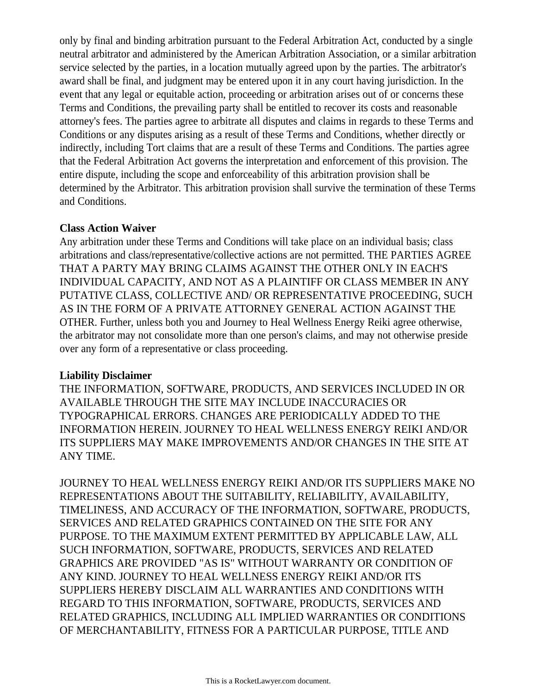only by final and binding arbitration pursuant to the Federal Arbitration Act, conducted by a single neutral arbitrator and administered by the American Arbitration Association, or a similar arbitration service selected by the parties, in a location mutually agreed upon by the parties. The arbitrator's award shall be final, and judgment may be entered upon it in any court having jurisdiction. In the event that any legal or equitable action, proceeding or arbitration arises out of or concerns these Terms and Conditions, the prevailing party shall be entitled to recover its costs and reasonable attorney's fees. The parties agree to arbitrate all disputes and claims in regards to these Terms and Conditions or any disputes arising as a result of these Terms and Conditions, whether directly or indirectly, including Tort claims that are a result of these Terms and Conditions. The parties agree that the Federal Arbitration Act governs the interpretation and enforcement of this provision. The entire dispute, including the scope and enforceability of this arbitration provision shall be determined by the Arbitrator. This arbitration provision shall survive the termination of these Terms and Conditions.

# **Class Action Waiver**

Any arbitration under these Terms and Conditions will take place on an individual basis; class arbitrations and class/representative/collective actions are not permitted. THE PARTIES AGREE THAT A PARTY MAY BRING CLAIMS AGAINST THE OTHER ONLY IN EACH'S INDIVIDUAL CAPACITY, AND NOT AS A PLAINTIFF OR CLASS MEMBER IN ANY PUTATIVE CLASS, COLLECTIVE AND/ OR REPRESENTATIVE PROCEEDING, SUCH AS IN THE FORM OF A PRIVATE ATTORNEY GENERAL ACTION AGAINST THE OTHER. Further, unless both you and Journey to Heal Wellness Energy Reiki agree otherwise, the arbitrator may not consolidate more than one person's claims, and may not otherwise preside over any form of a representative or class proceeding.

# **Liability Disclaimer**

THE INFORMATION, SOFTWARE, PRODUCTS, AND SERVICES INCLUDED IN OR AVAILABLE THROUGH THE SITE MAY INCLUDE INACCURACIES OR TYPOGRAPHICAL ERRORS. CHANGES ARE PERIODICALLY ADDED TO THE INFORMATION HEREIN. JOURNEY TO HEAL WELLNESS ENERGY REIKI AND/OR ITS SUPPLIERS MAY MAKE IMPROVEMENTS AND/OR CHANGES IN THE SITE AT ANY TIME.

JOURNEY TO HEAL WELLNESS ENERGY REIKI AND/OR ITS SUPPLIERS MAKE NO REPRESENTATIONS ABOUT THE SUITABILITY, RELIABILITY, AVAILABILITY, TIMELINESS, AND ACCURACY OF THE INFORMATION, SOFTWARE, PRODUCTS, SERVICES AND RELATED GRAPHICS CONTAINED ON THE SITE FOR ANY PURPOSE. TO THE MAXIMUM EXTENT PERMITTED BY APPLICABLE LAW, ALL SUCH INFORMATION, SOFTWARE, PRODUCTS, SERVICES AND RELATED GRAPHICS ARE PROVIDED "AS IS" WITHOUT WARRANTY OR CONDITION OF ANY KIND. JOURNEY TO HEAL WELLNESS ENERGY REIKI AND/OR ITS SUPPLIERS HEREBY DISCLAIM ALL WARRANTIES AND CONDITIONS WITH REGARD TO THIS INFORMATION, SOFTWARE, PRODUCTS, SERVICES AND RELATED GRAPHICS, INCLUDING ALL IMPLIED WARRANTIES OR CONDITIONS OF MERCHANTABILITY, FITNESS FOR A PARTICULAR PURPOSE, TITLE AND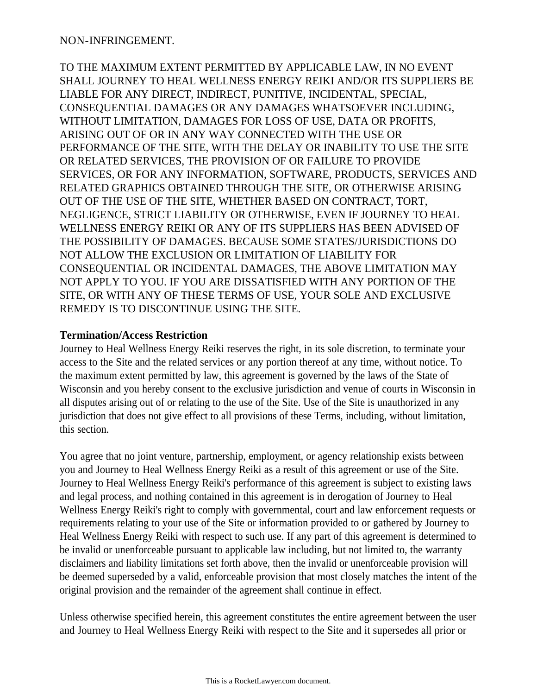TO THE MAXIMUM EXTENT PERMITTED BY APPLICABLE LAW, IN NO EVENT SHALL JOURNEY TO HEAL WELLNESS ENERGY REIKI AND/OR ITS SUPPLIERS BE LIABLE FOR ANY DIRECT, INDIRECT, PUNITIVE, INCIDENTAL, SPECIAL, CONSEQUENTIAL DAMAGES OR ANY DAMAGES WHATSOEVER INCLUDING, WITHOUT LIMITATION, DAMAGES FOR LOSS OF USE, DATA OR PROFITS, ARISING OUT OF OR IN ANY WAY CONNECTED WITH THE USE OR PERFORMANCE OF THE SITE, WITH THE DELAY OR INABILITY TO USE THE SITE OR RELATED SERVICES, THE PROVISION OF OR FAILURE TO PROVIDE SERVICES, OR FOR ANY INFORMATION, SOFTWARE, PRODUCTS, SERVICES AND RELATED GRAPHICS OBTAINED THROUGH THE SITE, OR OTHERWISE ARISING OUT OF THE USE OF THE SITE, WHETHER BASED ON CONTRACT, TORT, NEGLIGENCE, STRICT LIABILITY OR OTHERWISE, EVEN IF JOURNEY TO HEAL WELLNESS ENERGY REIKI OR ANY OF ITS SUPPLIERS HAS BEEN ADVISED OF THE POSSIBILITY OF DAMAGES. BECAUSE SOME STATES/JURISDICTIONS DO NOT ALLOW THE EXCLUSION OR LIMITATION OF LIABILITY FOR CONSEQUENTIAL OR INCIDENTAL DAMAGES, THE ABOVE LIMITATION MAY NOT APPLY TO YOU. IF YOU ARE DISSATISFIED WITH ANY PORTION OF THE SITE, OR WITH ANY OF THESE TERMS OF USE, YOUR SOLE AND EXCLUSIVE REMEDY IS TO DISCONTINUE USING THE SITE.

# **Termination/Access Restriction**

Journey to Heal Wellness Energy Reiki reserves the right, in its sole discretion, to terminate your access to the Site and the related services or any portion thereof at any time, without notice. To the maximum extent permitted by law, this agreement is governed by the laws of the State of Wisconsin and you hereby consent to the exclusive jurisdiction and venue of courts in Wisconsin in all disputes arising out of or relating to the use of the Site. Use of the Site is unauthorized in any jurisdiction that does not give effect to all provisions of these Terms, including, without limitation, this section.

You agree that no joint venture, partnership, employment, or agency relationship exists between you and Journey to Heal Wellness Energy Reiki as a result of this agreement or use of the Site. Journey to Heal Wellness Energy Reiki's performance of this agreement is subject to existing laws and legal process, and nothing contained in this agreement is in derogation of Journey to Heal Wellness Energy Reiki's right to comply with governmental, court and law enforcement requests or requirements relating to your use of the Site or information provided to or gathered by Journey to Heal Wellness Energy Reiki with respect to such use. If any part of this agreement is determined to be invalid or unenforceable pursuant to applicable law including, but not limited to, the warranty disclaimers and liability limitations set forth above, then the invalid or unenforceable provision will be deemed superseded by a valid, enforceable provision that most closely matches the intent of the original provision and the remainder of the agreement shall continue in effect.

Unless otherwise specified herein, this agreement constitutes the entire agreement between the user and Journey to Heal Wellness Energy Reiki with respect to the Site and it supersedes all prior or